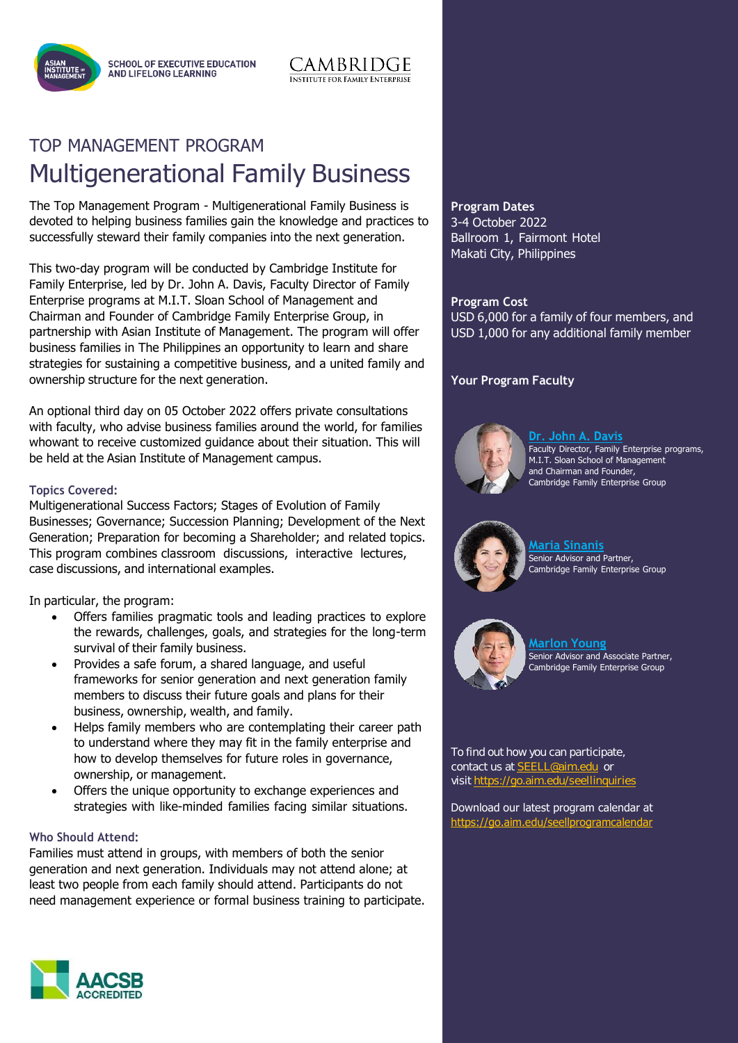**SCHOOL OF EXECUTIVE EDUCATION AND LIFELONG LEARNING** 



:AMBRIDGE

**INSTITUTE FOR FAMILY ENTERPRISE** 

The Top Management Program - Multigenerational Family Business is devoted to helping business families gain the knowledge and practices to successfully steward their family companies into the next generation.

This two-day program will be conducted by Cambridge Institute for Family Enterprise, led by Dr. John A. Davis, Faculty Director of Family Enterprise programs at M.I.T. Sloan School of Management and Chairman and Founder of Cambridge Family Enterprise Group, in partnership with Asian Institute of Management. The program will offer business families in The Philippines an opportunity to learn and share strategies for sustaining a competitive business, and a united family and ownership structure for the next generation.

An optional third day on 05 October 2022 offers private consultations with faculty, who advise business families around the world, for families whowant to receive customized guidance about their situation. This will be held at the Asian Institute of Management campus.

### **Topics Covered:**

Multigenerational Success Factors; Stages of Evolution of Family Businesses; Governance; Succession Planning; Development of the Next Generation; Preparation for becoming a Shareholder; and related topics. This program combines classroom discussions, interactive lectures, case discussions, and international examples.

In particular, the program:

- Offers families pragmatic tools and leading practices to explore the rewards, challenges, goals, and strategies for the long-term survival of their family business.
- Provides a safe forum, a shared language, and useful frameworks for senior generation and next generation family members to discuss their future goals and plans for their business, ownership, wealth, and family.
- Helps family members who are contemplating their career path to understand where they may fit in the family enterprise and how to develop themselves for future roles in governance, ownership, or management.
- Offers the unique opportunity to exchange experiences and strategies with like-minded families facing similar situations.

#### **Who Should Attend:**

Families must attend in groups, with members of both the senior generation and next generation. Individuals may not attend alone; at least two people from each family should attend. Participants do not need management experience or formal business training to participate. **Program Dates** 3-4 October 2022 Ballroom 1, Fairmont Hotel Makati City, Philippines

**Program Cost** USD 6,000 for a family of four members, and USD 1,000 for any additional family member

### **Your Program Faculty**



<u> Dr. John A. Davis</u> Faculty Director, Family Enterprise programs, M.I.T. Sloan School of Management and Chairman and Founder, Cambridge Family Enterprise Group



**[Maria](#page-2-0) Sinanis** Senior Advisor and Partner, Cambridge Family Enterprise Group



**[Marlon](#page-3-0) Young** Senior Advisor and Associate Partner, Cambridge Family Enterprise Group

To find out how you can participate, contact us a[t SEELL@aim.edu](mailto:SEELL@aim.edu) or visi[t https://go.aim.edu/seellinquiries](https://go.aim.edu/seellinquiries)

Download our latest program calendar at <https://go.aim.edu/seellprogramcalendar>

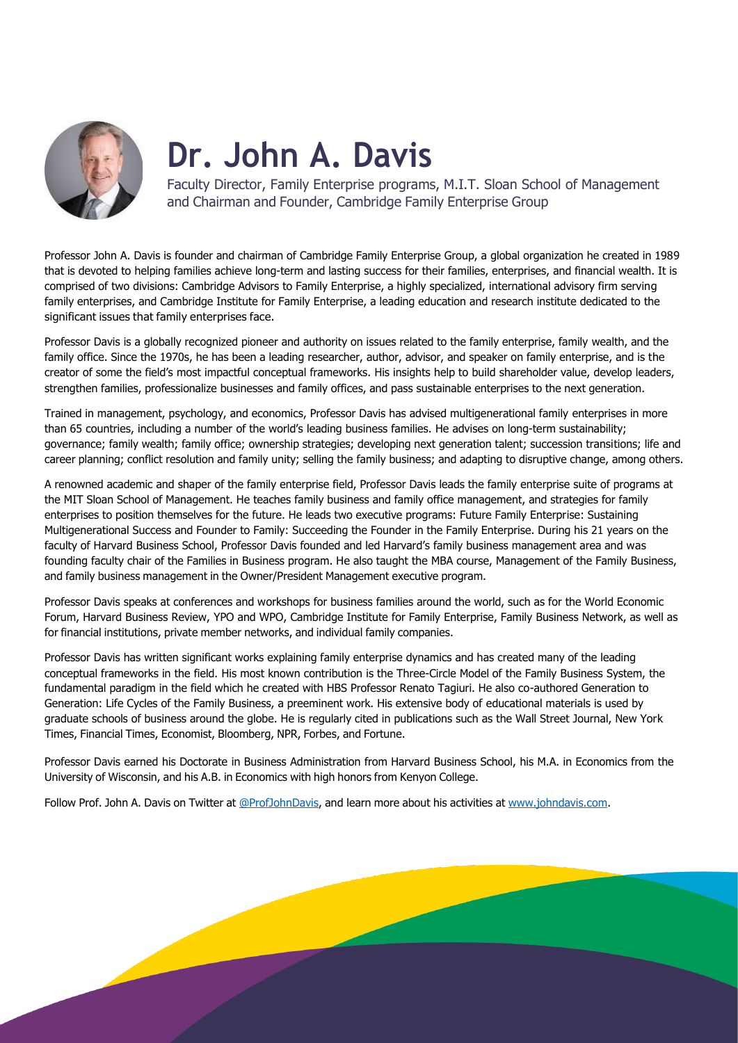

# **Dr. John A. Davis**

Faculty Director, Family Enterprise programs, M.I.T. Sloan School of Management and Chairman and Founder, Cambridge Family Enterprise Group

Professor John A. Davis is founder and chairman of Cambridge Family Enterprise Group, a global organization he created in 1989 that is devoted to helping families achieve long-term and lasting success for their families, enterprises, and financial wealth. It is comprised of two divisions: Cambridge Advisors to Family Enterprise, a highly specialized, international advisory firm serving family enterprises, and Cambridge Institute for Family Enterprise, a leading education and research institute dedicated to the significant issues that family enterprises face.

Professor Davis is a globally recognized pioneer and authority on issues related to the family enterprise, family wealth, and the family office. Since the 1970s, he has been a leading researcher, author, advisor, and speaker on family enterprise, and is the creator of some the field's most impactful conceptual frameworks. His insights help to build shareholder value, develop leaders, strengthen families, professionalize businesses and family offices, and pass sustainable enterprises to the next generation.

Trained in management, psychology, and economics, Professor Davis has advised multigenerational family enterprises in more than 65 countries, including a number of the world's leading business families. He advises on long-term sustainability; governance; family wealth; family office; ownership strategies; developing next generation talent; succession transitions; life and career planning; conflict resolution and family unity; selling the family business; and adapting to disruptive change, among others.

A renowned academic and shaper of the family enterprise field, Professor Davis leads the family enterprise suite of programs at the MIT Sloan School of Management. He teaches family business and family office management, and strategies for family enterprises to position themselves for the future. He leads two executive programs: Future Family Enterprise: Sustaining Multigenerational Success and Founder to Family: Succeeding the Founder in the Family Enterprise. During his 21 years on the faculty of Harvard Business School, Professor Davis founded and led Harvard's family business management area and was founding faculty chair of the Families in Business program. He also taught the MBA course, Management of the Family Business, and family business management in the Owner/President Management executive program.

Professor Davis speaks at conferences and workshops for business families around the world, such as for the World Economic Forum, Harvard Business Review, YPO and WPO, Cambridge Institute for Family Enterprise, Family Business Network, as well as for financial institutions, private member networks, and individual family companies.

Professor Davis has written significant works explaining family enterprise dynamics and has created many of the leading conceptual frameworks in the field. His most known contribution is the Three-Circle Model of the Family Business System, the fundamental paradigm in the field which he created with HBS Professor Renato Tagiuri. He also co-authored Generation to Generation: Life Cycles of the Family Business, a preeminent work. His extensive body of educational materials is used by graduate schools of business around the globe. He is regularly cited in publications such as the Wall Street Journal, New York Times, Financial Times, Economist, Bloomberg, NPR, Forbes, and Fortune.

Professor Davis earned his Doctorate in Business Administration from Harvard Business School, his M.A. in Economics from the University of Wisconsin, and his A.B. in Economics with high honors from Kenyon College.

Follow Prof. John A. Davis on Twitter at [@ProfJohnDavis,](https://twitter.com/profjohndavis) and learn more about his activities at [www.johndavis.com.](http://www.johndavis.com/)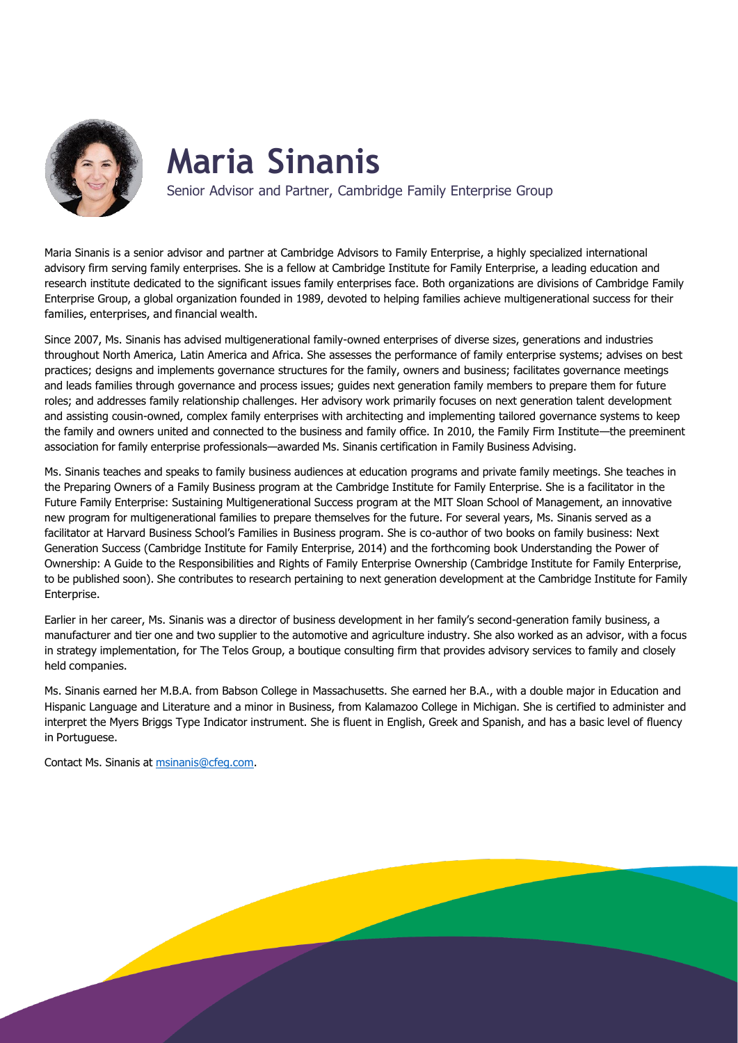

## <span id="page-2-0"></span>**Maria Sinanis**

Senior Advisor and Partner, Cambridge Family Enterprise Group

Maria Sinanis is a senior advisor and partner at Cambridge Advisors to Family Enterprise, a highly specialized international advisory firm serving family enterprises. She is a fellow at Cambridge Institute for Family Enterprise, a leading education and research institute dedicated to the significant issues family enterprises face. Both organizations are divisions of Cambridge Family Enterprise Group, a global organization founded in 1989, devoted to helping families achieve multigenerational success for their families, enterprises, and financial wealth.

Since 2007, Ms. Sinanis has advised multigenerational family-owned enterprises of diverse sizes, generations and industries throughout North America, Latin America and Africa. She assesses the performance of family enterprise systems; advises on best practices; designs and implements governance structures for the family, owners and business; facilitates governance meetings and leads families through governance and process issues; guides next generation family members to prepare them for future roles; and addresses family relationship challenges. Her advisory work primarily focuses on next generation talent development and assisting cousin-owned, complex family enterprises with architecting and implementing tailored governance systems to keep the family and owners united and connected to the business and family office. In 2010, the Family Firm Institute—the preeminent association for family enterprise professionals—awarded Ms. Sinanis certification in Family Business Advising.

Ms. Sinanis teaches and speaks to family business audiences at education programs and private family meetings. She teaches in the Preparing Owners of a Family Business program at the Cambridge Institute for Family Enterprise. She is a facilitator in the Future Family Enterprise: Sustaining Multigenerational Success program at the MIT Sloan School of Management, an innovative new program for multigenerational families to prepare themselves for the future. For several years, Ms. Sinanis served as a facilitator at Harvard Business School's Families in Business program. She is co-author of two books on family business: Next Generation Success (Cambridge Institute for Family Enterprise, 2014) and the forthcoming book Understanding the Power of Ownership: A Guide to the Responsibilities and Rights of Family Enterprise Ownership (Cambridge Institute for Family Enterprise, to be published soon). She contributes to research pertaining to next generation development at the Cambridge Institute for Family Enterprise.

Earlier in her career, Ms. Sinanis was a director of business development in her family's second-generation family business, a manufacturer and tier one and two supplier to the automotive and agriculture industry. She also worked as an advisor, with a focus in strategy implementation, for The Telos Group, a boutique consulting firm that provides advisory services to family and closely held companies.

Ms. Sinanis earned her M.B.A. from Babson College in Massachusetts. She earned her B.A., with a double major in Education and Hispanic Language and Literature and a minor in Business, from Kalamazoo College in Michigan. She is certified to administer and interpret the Myers Briggs Type Indicator instrument. She is fluent in English, Greek and Spanish, and has a basic level of fluency in Portuguese.

Contact Ms. Sinanis at [msinanis@cfeg.com.](mailto:msinanis@cfeg.com)